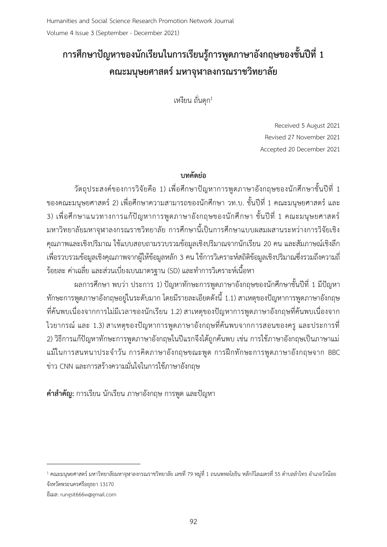# **การศึกษาปัญหาของนักเรียนในการเรียนรู้การพูดภาษาอังกฤษของชั้นปีที่ 1 คณะมนุษยศาสตร์มหาจุฬาลงกรณราชวิทยาลัย**

เหงียน ถั่นดุก<sup>1</sup>

Received 5 August 2021 Revised 27 November 2021 Accepted 20 December 2021

# **บทคัดย่อ**

วัตถุประสงค์ของการวิจัยคือ 1) เพื่อศึกษาปัญหาการพูดภาษาอังกฤษของนักศึกษาชั้นปีที่ 1 ของคณะมนุษยศาสตร์ 2) เพื่อศึกษาความสามารถของนักศึกษา วท.บ. ชั้นปีที่ 1 คณะมนุษยศาสตร์ และ 3) เพื่อศึกษาแนวทางการแก้ปัญหาการพูดภาษาอังกฤษของนักศึกษา ชั้นปีที่ 1 คณะมนุษยศาสตร์ มหาวิทยาลัยมหาจุฬาลงกรณราชวิทยาลัย การศึกษานี้เป็นการศึกษาแบบผสมผสานระหว่างการวิจัยเชิง คุณภาพและเชิงปริมาณ ใช้แบบสอบถามรวบรวมข้อมูลเชิงปริมาณจากนักเรียน 20 คน และสัมภาษณ์เชิงลึก เพื่อรวบรวมข้อมูลเชิงคุณภาพจากผู้ให้ข้อมูลหลัก 3 คน ใช้การวิเคราะห์สถิติข้อมูลเชิงปริมาณซึ่งรวมถึงความถี่ ้ ร้อยละ ค่าเฉลี่ย และส่วนเบี่ยงเบนมาตรฐาน (SD) และทำการวิเคราะห์เนื้อหา

ผลการศึกษา พบว่า ประการ 1) ปัญหาทักษะการพูดภาษาอังกฤษของนักศึกษาชั้นปีที่ 1 มีปัญหา ทักษะการพูดภาษาอังกฤษอยู่ในระดับมาก โดยมีรายละเอียดดังนี้ 1.1) สาเหตุของปัญหาการพูดภาษาอังกฤษ ที่ค้นพบเนื่องจากการไม่มีเวลาของนักเรียน 1.2) สาเหตุของปัญหาการพูดภาษาอังกฤษที่ค้นพบเนื่องจาก ไวยากรณ์ และ 1.3) สาเหตุของปัญหาการพูดภาษาอังกฤษที่ค้นพบจากการสอนของครู และประการที่ 2) วิธีการแก้ปัญหาทักษะการพูดภาษาอังกฤษในปีแรกจึงได้ถูกค้นพบ เช่น การใช้ภาษาอังกฤษเป็นภาษาแม่ แม้ในการสนทนาประจ าวัน การคิดภาษาอังกฤษขณะพูด การฝึกทักษะการพูดภาษาอังกฤษจาก BBC ข่าว CNN และการสร้างความมั่นใจในการใช้ภาษาอังกฤษ

**ค าส าคัญ:** การเรียน นักเรียน ภาษาอังกฤษ การพูด และปัญหา

-

 $^{\rm 1}$  คณะมนุษยศาสตร์ มหาวิทยาลัยมหาจุฬาลงกรณราชวิทยาลัย เลขที่ 79 หมู่ที่ 1 ถนนพหลโยธิน หลักกิโลเมตรที่ 55 ตำบลลำไทร อำเภอวังน้อย จังหวัดพระนครศรีอยุธยา 13170

อีเมล: rungsit666w@gmail.com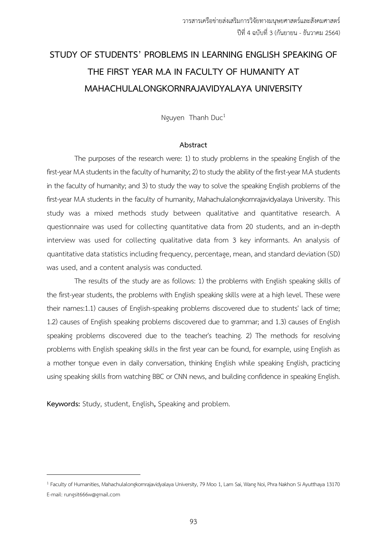# **STUDY OF STUDENTS' PROBLEMS IN LEARNING ENGLISH SPEAKING OF THE FIRST YEAR M.A IN FACULTY OF HUMANITY AT MAHACHULALONGKORNRAJAVIDYALAYA UNIVERSITY**

Nguyen Thanh Duc<sup>1</sup>

#### **Abstract**

The purposes of the research were: 1) to study problems in the speaking English of the first-year M.A students in the faculty of humanity; 2) to study the ability of the first-year M.A students in the faculty of humanity; and 3) to study the way to solve the speaking English problems of the first-year M.A students in the faculty of humanity, Mahachulalongkornrajavidyalaya University. This study was a mixed methods study between qualitative and quantitative research. A questionnaire was used for collecting quantitative data from 20 students, and an in-depth interview was used for collecting qualitative data from 3 key informants. An analysis of quantitative data statistics including frequency, percentage, mean, and standard deviation (SD) was used, and a content analysis was conducted.

The results of the study are as follows: 1) the problems with English speaking skills of the first-year students, the problems with English speaking skills were at a high level. These were their names:1.1) causes of English-speaking problems discovered due to students' lack of time; 1.2) causes of English speaking problems discovered due to grammar; and 1.3) causes of English speaking problems discovered due to the teacher's teaching. 2) The methods for resolving problems with English speaking skills in the first year can be found, for example, using English as a mother tongue even in daily conversation, thinking English while speaking English, practicing using speaking skills from watching BBC or CNN news, and building confidence in speaking English.

**Keywords:** Study, student, English**,** Speaking and problem.

-

<sup>&</sup>lt;sup>1</sup> Faculty of Humanities, Mahachulalongkornrajavidyalaya University, 79 Moo 1, Lam Sai, Wang Noi, Phra Nakhon Si Ayutthaya 13170 E-mail: rungsit666w@gmail.com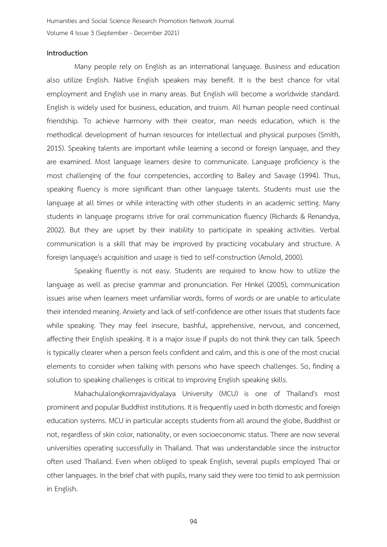#### **Introduction**

Many people rely on English as an international language. Business and education also utilize English. Native English speakers may benefit. It is the best chance for vital employment and English use in many areas. But English will become a worldwide standard. English is widely used for business, education, and truism. All human people need continual friendship. To achieve harmony with their creator, man needs education, which is the methodical development of human resources for intellectual and physical purposes (Smith, 2015). Speaking talents are important while learning a second or foreign language, and they are examined. Most language learners desire to communicate. Language proficiency is the most challenging of the four competencies, according to Bailey and Savage (1994). Thus, speaking fluency is more significant than other language talents. Students must use the language at all times or while interacting with other students in an academic setting. Many students in language programs strive for oral communication fluency (Richards & Renandya, 2002). But they are upset by their inability to participate in speaking activities. Verbal communication is a skill that may be improved by practicing vocabulary and structure. A foreign language's acquisition and usage is tied to self-construction (Arnold, 2000).

Speaking fluently is not easy. Students are required to know how to utilize the language as well as precise grammar and pronunciation. Per Hinkel (2005), communication issues arise when learners meet unfamiliar words, forms of words or are unable to articulate their intended meaning. Anxiety and lack of self-confidence are other issues that students face while speaking. They may feel insecure, bashful, apprehensive, nervous, and concerned, affecting their English speaking. It is a major issue if pupils do not think they can talk. Speech is typically clearer when a person feels confident and calm, and this is one of the most crucial elements to consider when talking with persons who have speech challenges. So, finding a solution to speaking challenges is critical to improving English speaking skills.

Mahachulalongkornrajavidyalaya University (MCU) is one of Thailand's most prominent and popular Buddhist institutions. It is frequently used in both domestic and foreign education systems. MCU in particular accepts students from all around the globe, Buddhist or not, regardless of skin color, nationality, or even socioeconomic status. There are now several universities operating successfully in Thailand. That was understandable since the instructor often used Thailand. Even when obliged to speak English, several pupils employed Thai or other languages. In the brief chat with pupils, many said they were too timid to ask permission in English.

94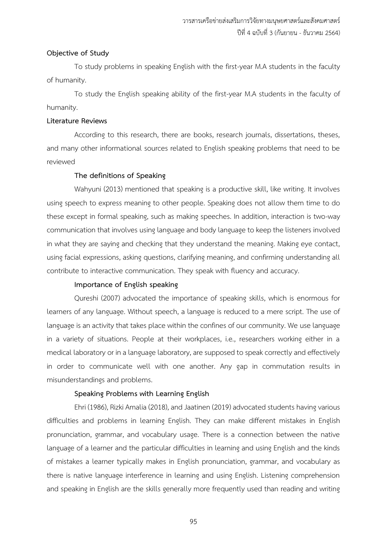#### **Objective of Study**

To study problems in speaking English with the first-year M.A students in the faculty of humanity.

To study the English speaking ability of the first-year M.A students in the faculty of humanity.

#### **Literature Reviews**

According to this research, there are books, research journals, dissertations, theses, and many other informational sources related to English speaking problems that need to be reviewed

#### **The definitions of Speaking**

Wahyuni (2013) mentioned that speaking is a productive skill, like writing. It involves using speech to express meaning to other people. Speaking does not allow them time to do these except in formal speaking, such as making speeches. In addition, interaction is two-way communication that involves using language and body language to keep the listeners involved in what they are saying and checking that they understand the meaning. Making eye contact, using facial expressions, asking questions, clarifying meaning, and confirming understanding all contribute to interactive communication. They speak with fluency and accuracy.

#### **Importance of English speaking**

Qureshi (2007) advocated the importance of speaking skills, which is enormous for learners of any language. Without speech, a language is reduced to a mere script. The use of language is an activity that takes place within the confines of our community. We use language in a variety of situations. People at their workplaces, i.e., researchers working either in a medical laboratory or in a language laboratory, are supposed to speak correctly and effectively in order to communicate well with one another. Any gap in commutation results in misunderstandings and problems.

## **Speaking Problems with Learning English**

Ehri (1986), Rizki Amalia (2018), and Jaatinen (2019) advocated students having various difficulties and problems in learning English. They can make different mistakes in English pronunciation, grammar, and vocabulary usage. There is a connection between the native language of a learner and the particular difficulties in learning and using English and the kinds of mistakes a learner typically makes in English pronunciation, grammar, and vocabulary as there is native language interference in learning and using English. Listening comprehension and speaking in English are the skills generally more frequently used than reading and writing

95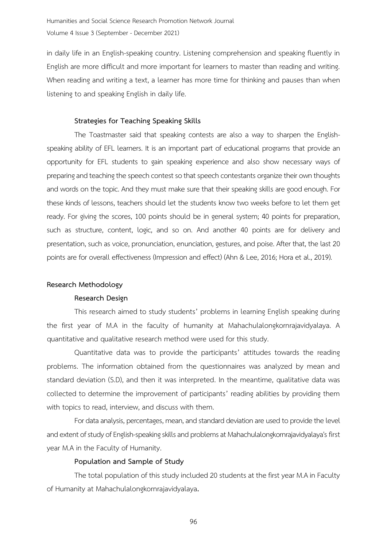in daily life in an English-speaking country. Listening comprehension and speaking fluently in English are more difficult and more important for learners to master than reading and writing. When reading and writing a text, a learner has more time for thinking and pauses than when listening to and speaking English in daily life.

#### **Strategies for Teaching Speaking Skills**

The Toastmaster said that speaking contests are also a way to sharpen the Englishspeaking ability of EFL learners. It is an important part of educational programs that provide an opportunity for EFL students to gain speaking experience and also show necessary ways of preparing and teaching the speech contest so that speech contestants organize their own thoughts and words on the topic. And they must make sure that their speaking skills are good enough. For these kinds of lessons, teachers should let the students know two weeks before to let them get ready. For giving the scores, 100 points should be in general system; 40 points for preparation, such as structure, content, logic, and so on. And another 40 points are for delivery and presentation, such as voice, pronunciation, enunciation, gestures, and poise. After that, the last 20 points are for overall effectiveness (Impression and effect) (Ahn & Lee, 2016; Hora et al., 2019).

#### **Research Methodology**

#### **Research Design**

This research aimed to study students' problems in learning English speaking during the first year of M.A in the faculty of humanity at Mahachulalongkornrajavidyalaya. A quantitative and qualitative research method were used for this study.

Quantitative data was to provide the participants' attitudes towards the reading problems. The information obtained from the questionnaires was analyzed by mean and standard deviation (S.D), and then it was interpreted. In the meantime, qualitative data was collected to determine the improvement of participants' reading abilities by providing them with topics to read, interview, and discuss with them.

For data analysis, percentages, mean, and standard deviation are used to provide the level and extent of study of English-speaking skills and problems at Mahachulalongkornrajavidyalaya's first year M.A in the Faculty of Humanity.

#### **Population and Sample of Study**

The total population of this study included 20 students at the first year M.A in Faculty of Humanity at Mahachulalongkornrajavidyalaya**.**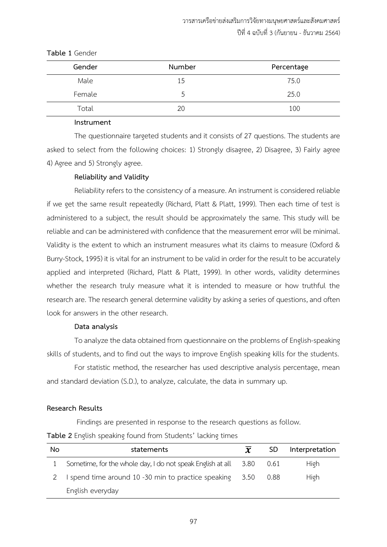| Gender | Number | Percentage |
|--------|--------|------------|
| Male   | 15     | 75.0       |
| Female | .5     | 25.0       |
| Total  | 20     | 100        |

#### **Table 1** Gender

#### **Instrument**

The questionnaire targeted students and it consists of 27 questions. The students are asked to select from the following choices: 1) Strongly disagree, 2) Disagree, 3) Fairly agree 4) Agree and 5) Strongly agree.

#### **Reliability and Validity**

Reliability refers to the consistency of a measure. An instrument is considered reliable if we get the same result repeatedly (Richard, Platt & Platt, 1999). Then each time of test is administered to a subject, the result should be approximately the same. This study will be reliable and can be administered with confidence that the measurement error will be minimal. Validity is the extent to which an instrument measures what its claims to measure (Oxford & Burry-Stock, 1995) it is vital for an instrument to be valid in order for the result to be accurately applied and interpreted (Richard, Platt & Platt, 1999). In other words, validity determines whether the research truly measure what it is intended to measure or how truthful the research are. The research general determine validity by asking a series of questions, and often look for answers in the other research.

#### **Data analysis**

To analyze the data obtained from questionnaire on the problems of English-speaking skills of students, and to find out the ways to improve English speaking kills for the students.

For statistic method, the researcher has used descriptive analysis percentage, mean and standard deviation (S.D.), to analyze, calculate, the data in summary up.

#### **Research Results**

Findings are presented in response to the research questions as follow.

#### **Table 2** English speaking found from Students' lacking times

| No | statements                                                           | $\overline{\mathbf{x}}$ | SD. | Interpretation |
|----|----------------------------------------------------------------------|-------------------------|-----|----------------|
|    | Sometime, for the whole day, I do not speak English at all 3.80 0.61 |                         |     | High           |
|    | I spend time around 10 -30 min to practice speaking 3.50 0.88        |                         |     | High           |
|    | English everyday                                                     |                         |     |                |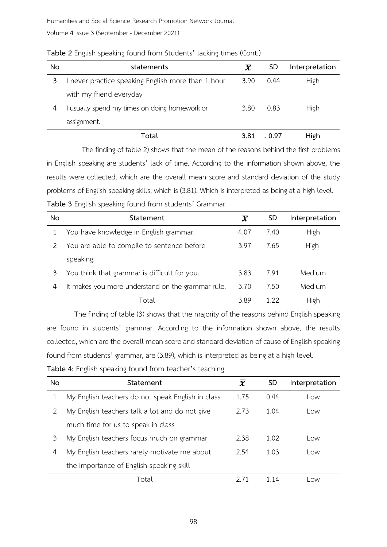Volume 4 Issue 3 (September - December 2021)

| No | statements                                         | $\overline{\mathbf{x}}$ | SD     | Interpretation |
|----|----------------------------------------------------|-------------------------|--------|----------------|
| 3  | I never practice speaking English more than 1 hour | 3.90                    | 0.44   | High           |
|    | with my friend everyday                            |                         |        |                |
| 4  | I usually spend my times on doing homework or      | 3.80                    | 0.83   | High           |
|    | assignment.                                        |                         |        |                |
|    | Total                                              | 3.81                    | . 0.97 | High           |

**Table 2** English speaking found from Students' lacking times (Cont.)

The finding of table 2) shows that the mean of the reasons behind the first problems in English speaking are students' lack of time. According to the information shown above, the results were collected, which are the overall mean score and standard deviation of the study problems of English speaking skills, which is (3.81). Which is interpreted as being at a high level. **Table 3** English speaking found from students' Grammar.

| No | Statement                                         | $\overline{\bm{x}}$ | <b>SD</b> | Interpretation |
|----|---------------------------------------------------|---------------------|-----------|----------------|
|    | You have knowledge in English grammar.            | 4.07                | 7.40      | High           |
|    | You are able to compile to sentence before        | 3.97                | 7.65      | High           |
|    | speaking.                                         |                     |           |                |
| 3  | You think that grammar is difficult for you.      | 3.83                | 7.91      | Medium         |
| 4  | It makes you more understand on the grammar rule. | 3.70                | 7.50      | Medium         |
|    | Total                                             | 3.89                | 1 22      | High           |

The finding of table (3) shows that the majority of the reasons behind English speaking are found in students' grammar. According to the information shown above, the results collected, which are the overall mean score and standard deviation of cause of English speaking found from students' grammar, are (3.89), which is interpreted as being at a high level.

|  |  |  | Table 4: English speaking found from teacher's teaching. |
|--|--|--|----------------------------------------------------------|
|  |  |  |                                                          |

| No | Statement                                         | $\overline{\bm{x}}$ | <b>SD</b> | Interpretation |
|----|---------------------------------------------------|---------------------|-----------|----------------|
|    | My English teachers do not speak English in class | 1.75                | 0.44      | Low            |
| 2  | My English teachers talk a lot and do not give    |                     | 1.04      | Low            |
|    | much time for us to speak in class                |                     |           |                |
| 3  | My English teachers focus much on grammar         | 2.38                | 1.02      | Low            |
| 4  | My English teachers rarely motivate me about      | 2.54                | 1.03      | Low            |
|    | the importance of English-speaking skill          |                     |           |                |
|    | Total                                             | 2 71                | 1 14      | Low            |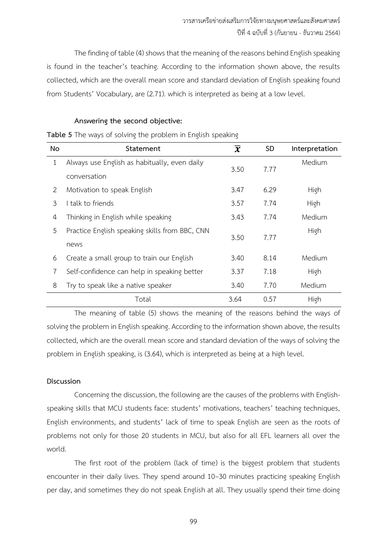The finding of table (4) shows that the meaning of the reasons behind English speaking is found in the teacher's teaching. According to the information shown above, the results collected, which are the overall mean score and standard deviation of English speaking found from Students' Vocabulary, are (2.71). which is interpreted as being at a low level.

### **Answering the second objective:**

**Table 5** The ways of solving the problem in English speaking

| No           | Statement                                      | $\overline{\bm{x}}$ | <b>SD</b> | Interpretation |
|--------------|------------------------------------------------|---------------------|-----------|----------------|
| $\mathbf{1}$ | Always use English as habitually, even daily   | 3.50                | 7.77      | Medium         |
|              | conversation                                   |                     |           |                |
| 2            | Motivation to speak English                    | 3.47                | 6.29      | High           |
| 3            | talk to friends                                | 3.57                | 7.74      | High           |
| 4            | Thinking in English while speaking             | 3.43                | 7.74      | Medium         |
| 5            | Practice English speaking skills from BBC, CNN |                     |           | High           |
|              | news                                           | 3.50                | 7.77      |                |
| 6            | Create a small group to train our English      | 3.40                | 8.14      | Medium         |
| 7            | Self-confidence can help in speaking better    | 3.37                | 7.18      | High           |
| 8            | Try to speak like a native speaker             | 3.40                | 7.70      | Medium         |
|              | Total                                          | 3.64                | 0.57      | High           |

The meaning of table (5) shows the meaning of the reasons behind the ways of solving the problem in English speaking. According to the information shown above, the results collected, which are the overall mean score and standard deviation of the ways of solving the problem in English speaking, is (3.64), which is interpreted as being at a high level.

## **Discussion**

Concerning the discussion, the following are the causes of the problems with Englishspeaking skills that MCU students face: students' motivations, teachers' teaching techniques, English environments, and students' lack of time to speak English are seen as the roots of problems not only for those 20 students in MCU, but also for all EFL learners all over the world.

The first root of the problem (lack of time) is the biggest problem that students encounter in their daily lives. They spend around 10–30 minutes practicing speaking English per day, and sometimes they do not speak English at all. They usually spend their time doing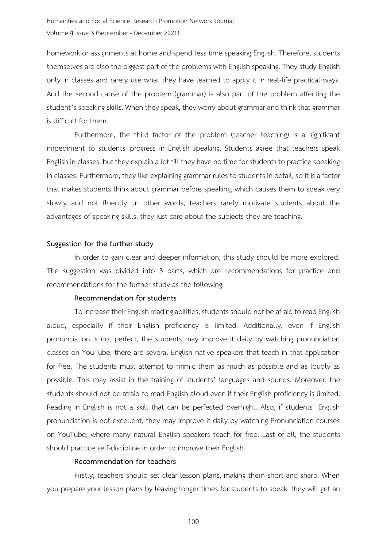homework or assignments at home and spend less time speaking English. Therefore, students themselves are also the biggest part of the problems with English speaking. They study English only in classes and rarely use what they have learned to apply it in real-life practical ways. And the second cause of the problem (grammar) is also part of the problem affecting the student's speaking skills. When they speak, they worry about grammar and think that grammar is difficult for them.

Furthermore, the third factor of the problem (teacher teaching) is a significant impediment to students' progress in English speaking. Students agree that teachers speak English in classes, but they explain a lot till they have no time for students to practice speaking in classes. Furthermore, they like explaining grammar rules to students in detail, so it is a factor that makes students think about grammar before speaking, which causes them to speak very slowly and not fluently. In other words, teachers rarely motivate students about the advantages of speaking skills; they just care about the subjects they are teaching.

#### **Suggestion for the further study**

In order to gain clear and deeper information, this study should be more explored. The suggestion was divided into 3 parts, which are recommendations for practice and recommendations for the further study as the following:

#### **Recommendation for students**

To increase their English reading abilities, students should not be afraid to read English aloud, especially if their English proficiency is limited. Additionally, even if English pronunciation is not perfect, the students may improve it daily by watching pronunciation classes on YouTube; there are several English native speakers that teach in that application for free. The students must attempt to mimic them as much as possible and as loudly as possible. This may assist in the training of students' languages and sounds. Moreover, the students should not be afraid to read English aloud even if their English proficiency is limited. Reading in English is not a skill that can be perfected overnight. Also, if students' English pronunciation is not excellent, they may improve it daily by watching Pronunciation courses on YouTube, where many natural English speakers teach for free. Last of all, the students should practice self-discipline in order to improve their English.

#### **Recommendation for teachers**

Firstly, teachers should set clear lesson plans, making them short and sharp. When you prepare your lesson plans by leaving longer times for students to speak, they will get an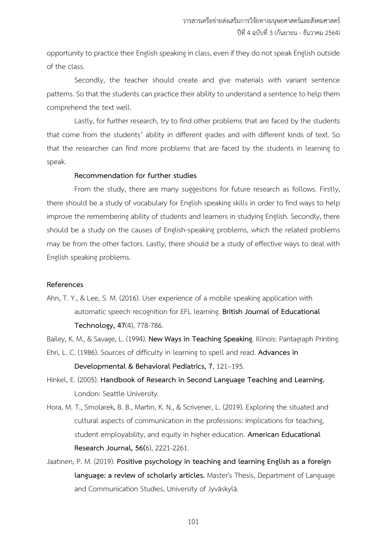opportunity to practice their English speaking in class, even if they do not speak English outside of the class.

Secondly, the teacher should create and give materials with variant sentence patterns. So that the students can practice their ability to understand a sentence to help them comprehend the text well.

Lastly, for further research, try to find other problems that are faced by the students that come from the students' ability in different grades and with different kinds of text. So that the researcher can find more problems that are faced by the students in learning to speak.

#### **Recommendation for further studies**

From the study, there are many suggestions for future research as follows. Firstly, there should be a study of vocabulary for English speaking skills in order to find ways to help improve the remembering ability of students and learners in studying English. Secondly, there should be a study on the causes of English-speaking problems, which the related problems may be from the other factors. Lastly, there should be a study of effective ways to deal with English speaking problems.

#### **References**

Ahn, T. Y., & Lee, S. M. (2016). User experience of a mobile speaking application with automatic speech recognition for EFL learning. **British Journal of Educational Technology, 47**(4), 778-786.

Bailey, K. M., & Savage, L. (1994). **New Ways in Teaching Speaking**. Illinois: Pantagraph Printing.

- Ehri, L. C. (1986). Sources of difficulty in learning to spell and read. **Advances in Developmental & Behavioral Pediatrics, 7**, 121–195.
- Hinkel, E. (2005). **Handbook of Research in Second Language Teaching and Learning.** London: Seattle University.
- Hora, M. T., Smolarek, B. B., Martin, K. N., & Scrivener, L. (2019). Exploring the situated and cultural aspects of communication in the professions: Implications for teaching, student employability, and equity in higher education. **American Educational Research Journal, 56(**6), 2221-2261.
- Jaatinen, P. M. (2019). **Positive psychology in teaching and learning English as a foreign language: a review of scholarly articles.** Master's Thesis, Department of Language and Communication Studies, University of Jyväskylä.